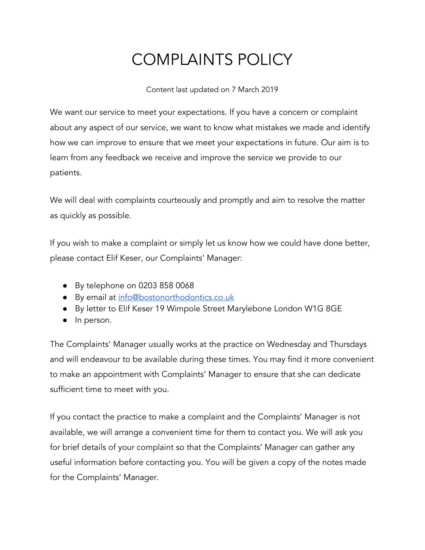## COMPLAINTS POLICY

Content last updated on 7 March 2019

We want our service to meet your expectations. If you have a concern or complaint about any aspect of our service, we want to know what mistakes we made and identify how we can improve to ensure that we meet your expectations in future. Our aim is to learn from any feedback we receive and improve the service we provide to our patients.

We will deal with complaints courteously and promptly and aim to resolve the matter as quickly as possible.

If you wish to make a complaint or simply let us know how we could have done better, please contact Elif Keser, our Complaints' Manager:

- By telephone on 0203 858 0068
- By email at [info@bostonorthodontics.co.uk](http://www2.dental-focus.co.uk/bostonorthodontics/old-website/cdn-cgi/l/email-protection.html#b5dcdbd3daf5d7dac6c1dadbdac7c1dddad1dadbc1dcd6c69bd6da9bc0de)
- By letter to Elif Keser 19 Wimpole Street Marylebone London W1G 8GE
- In person.

The Complaints' Manager usually works at the practice on Wednesday and Thursdays and will endeavour to be available during these times. You may find it more convenient to make an appointment with Complaints' Manager to ensure that she can dedicate sufficient time to meet with you.

If you contact the practice to make a complaint and the Complaints' Manager is not available, we will arrange a convenient time for them to contact you. We will ask you for brief details of your complaint so that the Complaints' Manager can gather any useful information before contacting you. You will be given a copy of the notes made for the Complaints' Manager.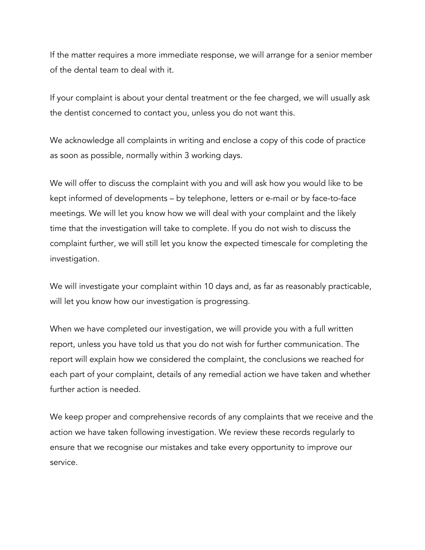If the matter requires a more immediate response, we will arrange for a senior member of the dental team to deal with it.

If your complaint is about your dental treatment or the fee charged, we will usually ask the dentist concerned to contact you, unless you do not want this.

We acknowledge all complaints in writing and enclose a copy of this code of practice as soon as possible, normally within 3 working days.

We will offer to discuss the complaint with you and will ask how you would like to be kept informed of developments – by telephone, letters or e-mail or by face-to-face meetings. We will let you know how we will deal with your complaint and the likely time that the investigation will take to complete. If you do not wish to discuss the complaint further, we will still let you know the expected timescale for completing the investigation.

We will investigate your complaint within 10 days and, as far as reasonably practicable, will let you know how our investigation is progressing.

When we have completed our investigation, we will provide you with a full written report, unless you have told us that you do not wish for further communication. The report will explain how we considered the complaint, the conclusions we reached for each part of your complaint, details of any remedial action we have taken and whether further action is needed.

We keep proper and comprehensive records of any complaints that we receive and the action we have taken following investigation. We review these records regularly to ensure that we recognise our mistakes and take every opportunity to improve our service.